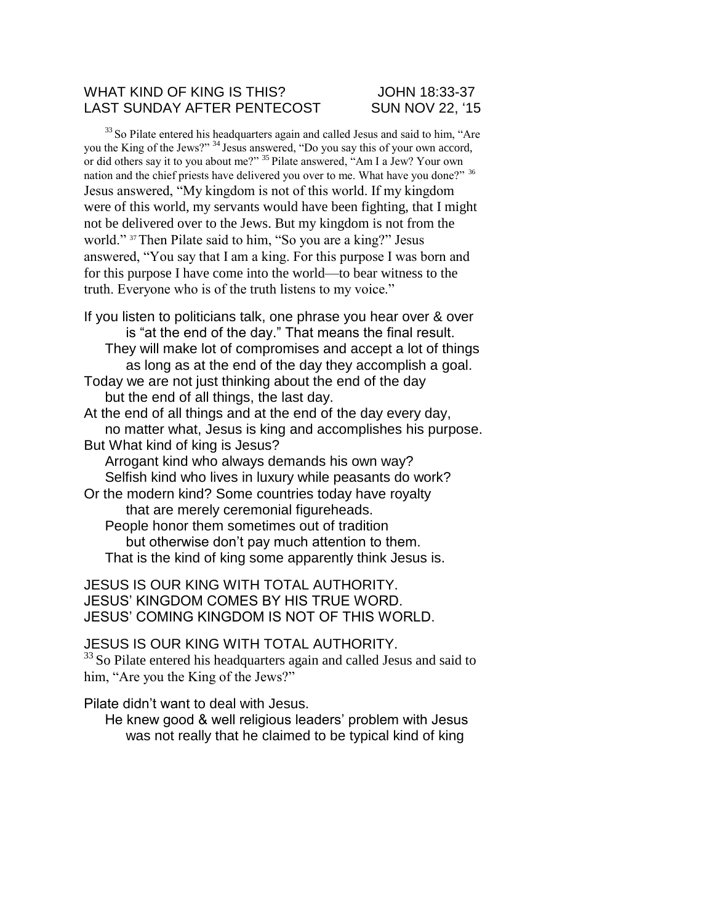## WHAT KIND OF KING IS THIS? JOHN 18:33-37 LAST SUNDAY AFTER PENTECOST SUN NOV 22, '15

<sup>33</sup> So Pilate entered his headquarters again and called Jesus and said to him, "Are you the King of the Jews?" <sup>34</sup> Jesus answered, "Do you say this of your own accord, or did others say it to you about me?" <sup>35</sup> Pilate answered, "Am I a Jew? Your own nation and the chief priests have delivered you over to me. What have you done?" <sup>36</sup> Jesus answered, "My kingdom is not of this world. If my kingdom were of this world, my servants would have been fighting, that I might not be delivered over to the Jews. But my kingdom is not from the world." 37 Then Pilate said to him, "So you are a king?" Jesus answered, "You say that I am a king. For this purpose I was born and for this purpose I have come into the world—to bear witness to the truth. Everyone who is of the truth listens to my voice."

If you listen to politicians talk, one phrase you hear over & over is "at the end of the day." That means the final result. They will make lot of compromises and accept a lot of things as long as at the end of the day they accomplish a goal. Today we are not just thinking about the end of the day but the end of all things, the last day. At the end of all things and at the end of the day every day, no matter what, Jesus is king and accomplishes his purpose. But What kind of king is Jesus? Arrogant kind who always demands his own way? Selfish kind who lives in luxury while peasants do work?

Or the modern kind? Some countries today have royalty that are merely ceremonial figureheads. People honor them sometimes out of tradition but otherwise don't pay much attention to them. That is the kind of king some apparently think Jesus is.

JESUS IS OUR KING WITH TOTAL AUTHORITY. JESUS' KINGDOM COMES BY HIS TRUE WORD.

JESUS' COMING KINGDOM IS NOT OF THIS WORLD.

JESUS IS OUR KING WITH TOTAL AUTHORITY.

<sup>33</sup>So Pilate entered his headquarters again and called Jesus and said to him, "Are you the King of the Jews?"

Pilate didn't want to deal with Jesus.

He knew good & well religious leaders' problem with Jesus was not really that he claimed to be typical kind of king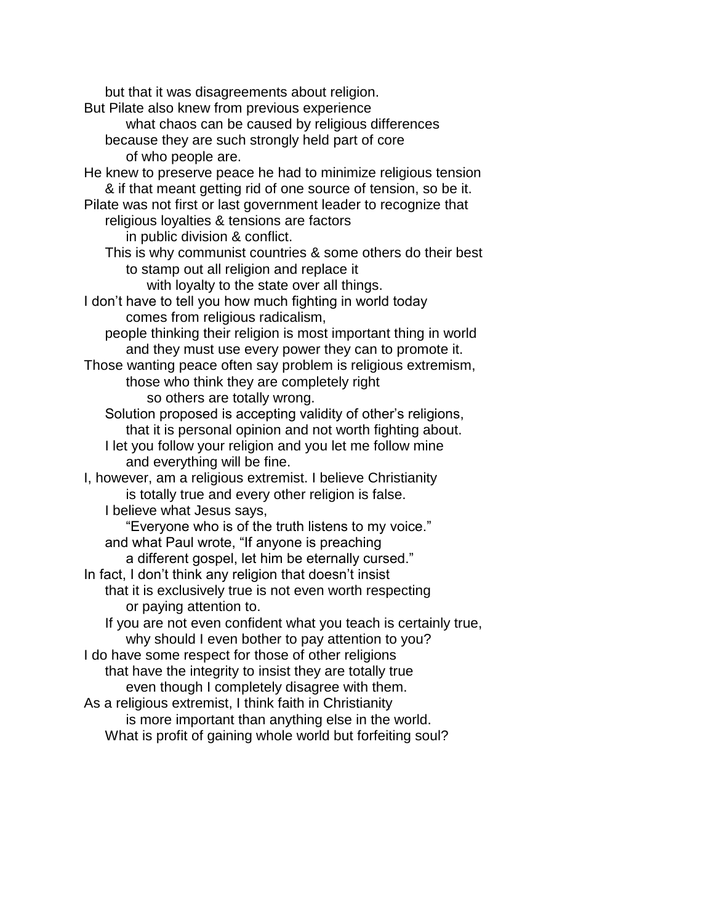but that it was disagreements about religion. But Pilate also knew from previous experience what chaos can be caused by religious differences because they are such strongly held part of core of who people are. He knew to preserve peace he had to minimize religious tension & if that meant getting rid of one source of tension, so be it. Pilate was not first or last government leader to recognize that religious loyalties & tensions are factors in public division & conflict. This is why communist countries & some others do their best to stamp out all religion and replace it with loyalty to the state over all things. I don't have to tell you how much fighting in world today comes from religious radicalism, people thinking their religion is most important thing in world and they must use every power they can to promote it. Those wanting peace often say problem is religious extremism, those who think they are completely right so others are totally wrong. Solution proposed is accepting validity of other's religions, that it is personal opinion and not worth fighting about. I let you follow your religion and you let me follow mine and everything will be fine. I, however, am a religious extremist. I believe Christianity is totally true and every other religion is false. I believe what Jesus says, "Everyone who is of the truth listens to my voice." and what Paul wrote, "If anyone is preaching a different gospel, let him be eternally cursed." In fact, I don't think any religion that doesn't insist that it is exclusively true is not even worth respecting or paying attention to. If you are not even confident what you teach is certainly true, why should I even bother to pay attention to you? I do have some respect for those of other religions that have the integrity to insist they are totally true even though I completely disagree with them. As a religious extremist, I think faith in Christianity is more important than anything else in the world. What is profit of gaining whole world but forfeiting soul?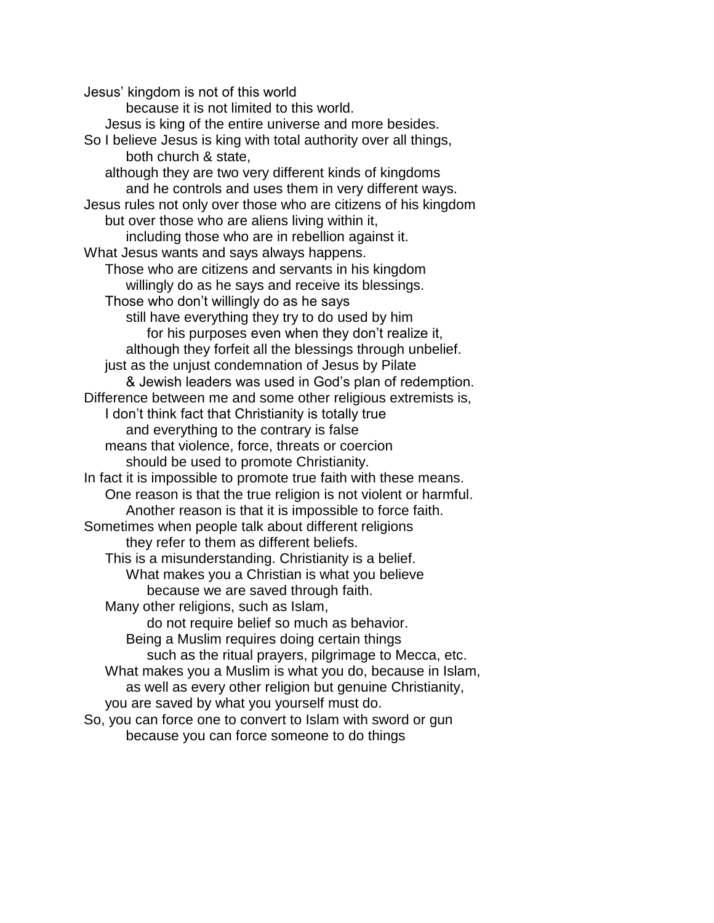Jesus' kingdom is not of this world because it is not limited to this world. Jesus is king of the entire universe and more besides. So I believe Jesus is king with total authority over all things, both church & state, although they are two very different kinds of kingdoms and he controls and uses them in very different ways. Jesus rules not only over those who are citizens of his kingdom but over those who are aliens living within it, including those who are in rebellion against it. What Jesus wants and says always happens. Those who are citizens and servants in his kingdom willingly do as he says and receive its blessings. Those who don't willingly do as he says still have everything they try to do used by him for his purposes even when they don't realize it, although they forfeit all the blessings through unbelief. just as the unjust condemnation of Jesus by Pilate & Jewish leaders was used in God's plan of redemption. Difference between me and some other religious extremists is, I don't think fact that Christianity is totally true and everything to the contrary is false means that violence, force, threats or coercion should be used to promote Christianity. In fact it is impossible to promote true faith with these means. One reason is that the true religion is not violent or harmful. Another reason is that it is impossible to force faith. Sometimes when people talk about different religions they refer to them as different beliefs. This is a misunderstanding. Christianity is a belief. What makes you a Christian is what you believe because we are saved through faith. Many other religions, such as Islam, do not require belief so much as behavior. Being a Muslim requires doing certain things such as the ritual prayers, pilgrimage to Mecca, etc. What makes you a Muslim is what you do, because in Islam, as well as every other religion but genuine Christianity, you are saved by what you yourself must do. So, you can force one to convert to Islam with sword or gun because you can force someone to do things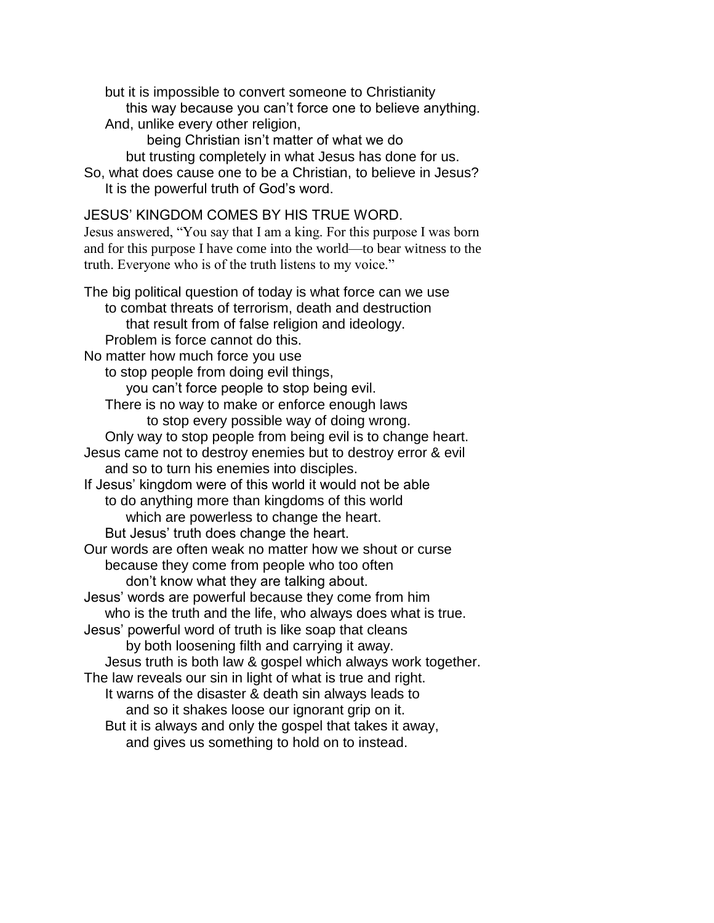but it is impossible to convert someone to Christianity this way because you can't force one to believe anything. And, unlike every other religion,

being Christian isn't matter of what we do but trusting completely in what Jesus has done for us. So, what does cause one to be a Christian, to believe in Jesus? It is the powerful truth of God's word.

## JESUS' KINGDOM COMES BY HIS TRUE WORD.

Jesus answered, "You say that I am a king. For this purpose I was born and for this purpose I have come into the world—to bear witness to the truth. Everyone who is of the truth listens to my voice."

The big political question of today is what force can we use to combat threats of terrorism, death and destruction that result from of false religion and ideology. Problem is force cannot do this. No matter how much force you use to stop people from doing evil things, you can't force people to stop being evil. There is no way to make or enforce enough laws to stop every possible way of doing wrong. Only way to stop people from being evil is to change heart. Jesus came not to destroy enemies but to destroy error & evil and so to turn his enemies into disciples. If Jesus' kingdom were of this world it would not be able to do anything more than kingdoms of this world which are powerless to change the heart. But Jesus' truth does change the heart. Our words are often weak no matter how we shout or curse because they come from people who too often don't know what they are talking about. Jesus' words are powerful because they come from him who is the truth and the life, who always does what is true. Jesus' powerful word of truth is like soap that cleans by both loosening filth and carrying it away. Jesus truth is both law & gospel which always work together. The law reveals our sin in light of what is true and right. It warns of the disaster & death sin always leads to and so it shakes loose our ignorant grip on it. But it is always and only the gospel that takes it away, and gives us something to hold on to instead.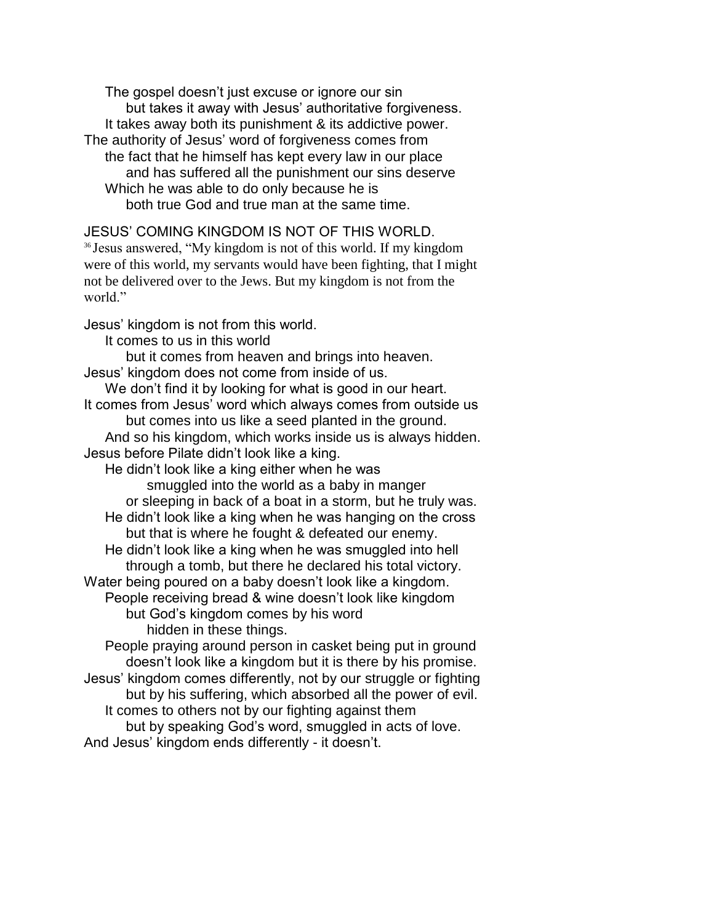The gospel doesn't just excuse or ignore our sin but takes it away with Jesus' authoritative forgiveness. It takes away both its punishment & its addictive power. The authority of Jesus' word of forgiveness comes from the fact that he himself has kept every law in our place and has suffered all the punishment our sins deserve Which he was able to do only because he is both true God and true man at the same time.

JESUS' COMING KINGDOM IS NOT OF THIS WORLD. <sup>36</sup> Jesus answered, "My kingdom is not of this world. If my kingdom were of this world, my servants would have been fighting, that I might not be delivered over to the Jews. But my kingdom is not from the world."

Jesus' kingdom is not from this world.

It comes to us in this world

but it comes from heaven and brings into heaven. Jesus' kingdom does not come from inside of us.

We don't find it by looking for what is good in our heart. It comes from Jesus' word which always comes from outside us but comes into us like a seed planted in the ground. And so his kingdom, which works inside us is always hidden.

Jesus before Pilate didn't look like a king. He didn't look like a king either when he was

smuggled into the world as a baby in manger or sleeping in back of a boat in a storm, but he truly was. He didn't look like a king when he was hanging on the cross but that is where he fought & defeated our enemy.

He didn't look like a king when he was smuggled into hell through a tomb, but there he declared his total victory.

Water being poured on a baby doesn't look like a kingdom.

People receiving bread & wine doesn't look like kingdom but God's kingdom comes by his word

hidden in these things.

People praying around person in casket being put in ground doesn't look like a kingdom but it is there by his promise.

Jesus' kingdom comes differently, not by our struggle or fighting but by his suffering, which absorbed all the power of evil. It comes to others not by our fighting against them

but by speaking God's word, smuggled in acts of love. And Jesus' kingdom ends differently - it doesn't.